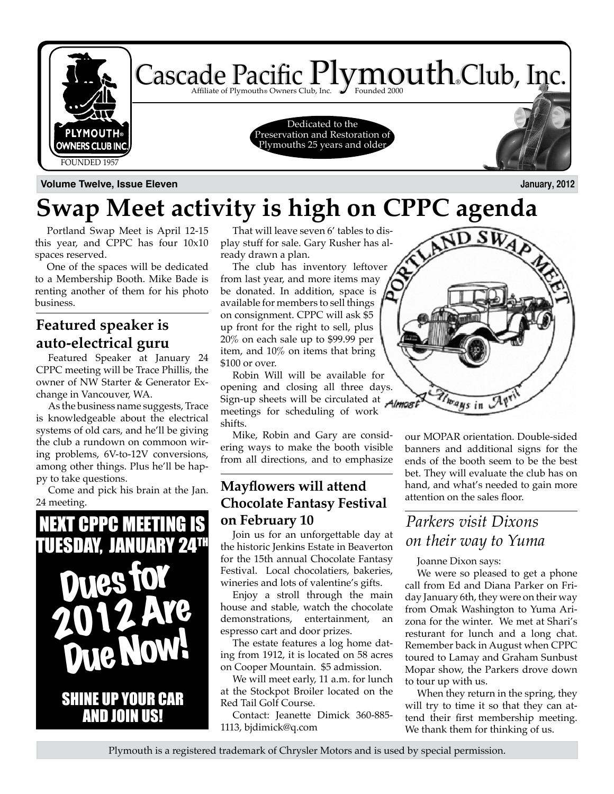

**Volume Twelve, Issue Eleven January, 2012**

# **Swap Meet activity is high on CPPC agenda**

Portland Swap Meet is April 12-15 this year, and CPPC has four 10x10 spaces reserved.

One of the spaces will be dedicated to a Membership Booth. Mike Bade is renting another of them for his photo business.

### **Featured speaker is auto-electrical guru**

Featured Speaker at January 24 CPPC meeting will be Trace Phillis, the owner of NW Starter & Generator Exchange in Vancouver, WA.

As the business name suggests, Trace is knowledgeable about the electrical systems of old cars, and he'll be giving the club a rundown on commoon wiring problems, 6V-to-12V conversions, among other things. Plus he'll be happy to take questions.

Come and pick his brain at the Jan. 24 meeting.



That will leave seven 6' tables to display stuff for sale. Gary Rusher has already drawn a plan.

The club has inventory leftover from last year, and more items may be donated. In addition, space is available for members to sell things on consignment. CPPC will ask \$5 up front for the right to sell, plus 20% on each sale up to \$99.99 per item, and 10% on items that bring \$100 or over.

Robin Will will be available for opening and closing all three days. Sign-up sheets will be circulated at Almost meetings for scheduling of work shifts.

Mike, Robin and Gary are considering ways to make the booth visible from all directions, and to emphasize

### **Mayflowers will attend Chocolate Fantasy Festival on February 10**

Join us for an unforgettable day at the historic Jenkins Estate in Beaverton for the 15th annual Chocolate Fantasy Festival. Local chocolatiers, bakeries, wineries and lots of valentine's gifts.

Enjoy a stroll through the main house and stable, watch the chocolate demonstrations, entertainment, espresso cart and door prizes.

The estate features a log home dating from 1912, it is located on 58 acres on Cooper Mountain. \$5 admission.

We will meet early, 11 a.m. for lunch at the Stockpot Broiler located on the Red Tail Golf Course.

Contact: Jeanette Dimick 360-885- 1113, bjdimick@q.com

our MOPAR orientation. Double-sided banners and additional signs for the ends of the booth seem to be the best bet. They will evaluate the club has on hand, and what's needed to gain more attention on the sales floor.

.s u

### *Parkers visit Dixons on their way to Yuma*

hrays in

Joanne Dixon says:

We were so pleased to get a phone call from Ed and Diana Parker on Friday January 6th, they were on their way from Omak Washington to Yuma Arizona for the winter. We met at Shari's resturant for lunch and a long chat. Remember back in August when CPPC toured to Lamay and Graham Sunbust Mopar show, the Parkers drove down to tour up with us.

When they return in the spring, they will try to time it so that they can attend their first membership meeting. We thank them for thinking of us.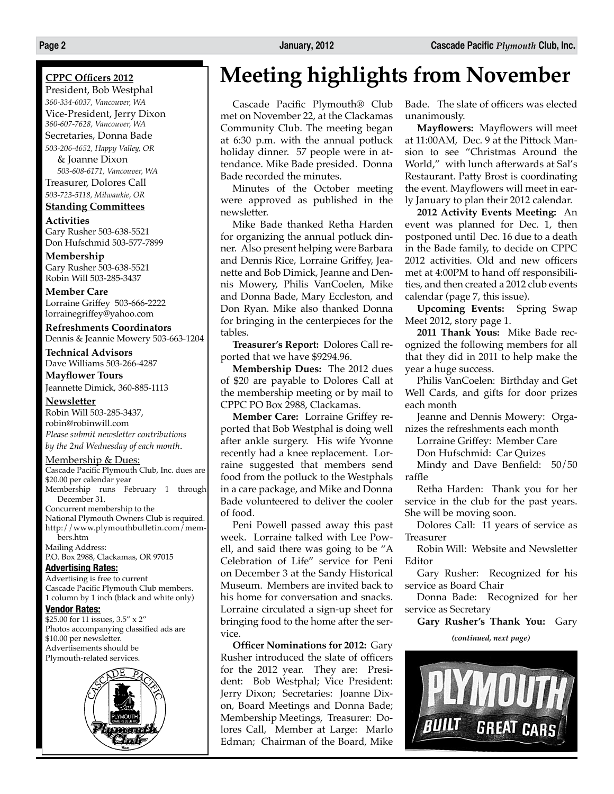### **CPPC Officers 2012**

President, Bob Westphal *360-334-6037, Vancouver, WA* Vice-President, Jerry Dixon *360-607-7628, Vancouver, WA* Secretaries, Donna Bade *503-206-4652, Happy Valley, OR*

& Joanne Dixon *503-608-6171, Vancouver, WA* Treasurer, Dolores Call *503-723-5118, Milwaukie, OR*

### **Standing Committees**

**Activities** Gary Rusher 503-638-5521 Don Hufschmid 503-577-7899

**Membership** Gary Rusher 503-638-5521 Robin Will 503-285-3437

**Member Care** Lorraine Griffey 503-666-2222 lorrainegriffey@yahoo.com

**Refreshments Coordinators** Dennis & Jeannie Mowery 503-663-1204

**Technical Advisors** Dave Williams 503-266-4287

**Mayflower Tours** Jeannette Dimick, 360-885-1113

#### **Newsletter**

Robin Will 503-285-3437, robin@robinwill.com *Please submit newsletter contributions by the 2nd Wednesday of each month*.

### Membership & Dues:

Cascade Pacific Plymouth Club, Inc. dues are \$20.00 per calendar year Membership runs February 1 through December 31. Concurrent membership to the National Plymouth Owners Club is required. http://www.plymouthbulletin.com/members.htm

Mailing Address: P.O. Box 2988, Clackamas, OR 97015

### **Advertising Rates:**

Advertising is free to current Cascade Pacific Plymouth Club members. 1 column by 1 inch (black and white only)

### **Vendor Rates:**

\$25.00 for 11 issues, 3.5" x 2" Photos accompanying classified ads are \$10.00 per newsletter. Advertisements should be Plymouth-related services.



# **Meeting highlights from November**

Cascade Pacific Plymouth® Club met on November 22, at the Clackamas Community Club. The meeting began at 6:30 p.m. with the annual potluck holiday dinner. 57 people were in attendance. Mike Bade presided. Donna Bade recorded the minutes.

Minutes of the October meeting were approved as published in the newsletter.

Mike Bade thanked Retha Harden for organizing the annual potluck dinner. Also present helping were Barbara and Dennis Rice, Lorraine Griffey, Jeanette and Bob Dimick, Jeanne and Dennis Mowery, Philis VanCoelen, Mike and Donna Bade, Mary Eccleston, and Don Ryan. Mike also thanked Donna for bringing in the centerpieces for the tables.

**Treasurer's Report:** Dolores Call reported that we have \$9294.96.

**Membership Dues:** The 2012 dues of \$20 are payable to Dolores Call at the membership meeting or by mail to CPPC PO Box 2988, Clackamas.

**Member Care:** Lorraine Griffey reported that Bob Westphal is doing well after ankle surgery. His wife Yvonne recently had a knee replacement. Lorraine suggested that members send food from the potluck to the Westphals in a care package, and Mike and Donna Bade volunteered to deliver the cooler of food.

Peni Powell passed away this past week. Lorraine talked with Lee Powell, and said there was going to be "A Celebration of Life" service for Peni on December 3 at the Sandy Historical Museum. Members are invited back to his home for conversation and snacks. Lorraine circulated a sign-up sheet for bringing food to the home after the service.

**Officer Nominations for 2012:** Gary Rusher introduced the slate of officers for the 2012 year. They are: President: Bob Westphal; Vice President: Jerry Dixon; Secretaries: Joanne Dixon, Board Meetings and Donna Bade; Membership Meetings, Treasurer: Dolores Call, Member at Large: Marlo Edman; Chairman of the Board, Mike Bade. The slate of officers was elected unanimously.

**Mayflowers:** Mayflowers will meet at 11:00AM, Dec. 9 at the Pittock Mansion to see "Christmas Around the World," with lunch afterwards at Sal's Restaurant. Patty Brost is coordinating the event. Mayflowers will meet in early January to plan their 2012 calendar.

**2012 Activity Events Meeting:** An event was planned for Dec. 1, then postponed until Dec. 16 due to a death in the Bade family, to decide on CPPC 2012 activities. Old and new officers met at 4:00PM to hand off responsibilities, and then created a 2012 club events calendar (page 7, this issue).

**Upcoming Events:** Spring Swap Meet 2012, story page 1.

**2011 Thank Yous:** Mike Bade recognized the following members for all that they did in 2011 to help make the year a huge success.

Philis VanCoelen: Birthday and Get Well Cards, and gifts for door prizes each month

Jeanne and Dennis Mowery: Organizes the refreshments each month

Lorraine Griffey: Member Care

Don Hufschmid: Car Quizes

Mindy and Dave Benfield: 50/50 raffle

Retha Harden: Thank you for her service in the club for the past years. She will be moving soon.

Dolores Call: 11 years of service as Treasurer

Robin Will: Website and Newsletter Editor

Gary Rusher: Recognized for his service as Board Chair

Donna Bade: Recognized for her service as Secretary

**Gary Rusher's Thank You:** Gary *(continued, next page)*

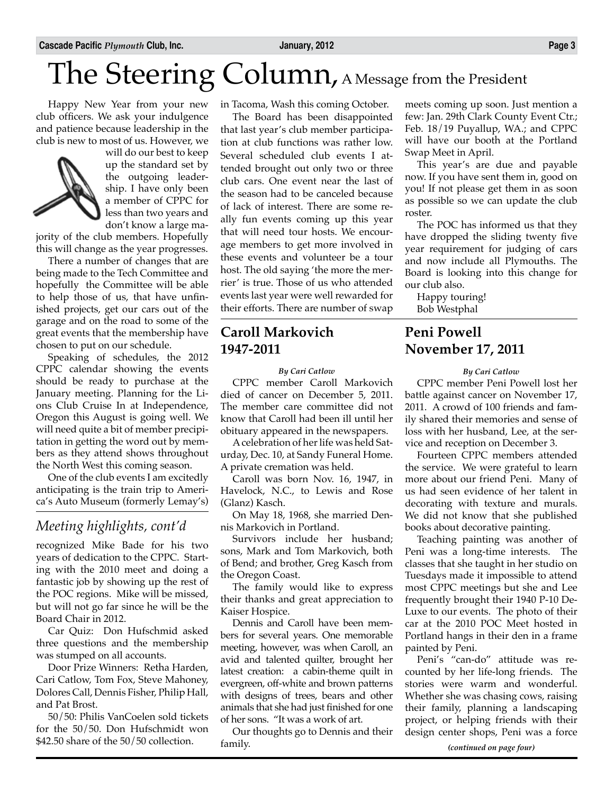# The Steering Column, A Message from the President

Happy New Year from your new club officers. We ask your indulgence and patience because leadership in the club is new to most of us. However, we



will do our best to keep up the standard set by the outgoing leadership. I have only been a member of CPPC for less than two years and don't know a large ma-

jority of the club members. Hopefully this will change as the year progresses.

There a number of changes that are being made to the Tech Committee and hopefully the Committee will be able to help those of us, that have unfinished projects, get our cars out of the garage and on the road to some of the great events that the membership have chosen to put on our schedule.

Speaking of schedules, the 2012 CPPC calendar showing the events should be ready to purchase at the January meeting. Planning for the Lions Club Cruise In at Independence, Oregon this August is going well. We will need quite a bit of member precipitation in getting the word out by members as they attend shows throughout the North West this coming season.

One of the club events I am excitedly anticipating is the train trip to America's Auto Museum (formerly Lemay's)

### *Meeting highlights, cont'd*

recognized Mike Bade for his two years of dedication to the CPPC. Starting with the 2010 meet and doing a fantastic job by showing up the rest of the POC regions. Mike will be missed, but will not go far since he will be the Board Chair in 2012.

Car Quiz: Don Hufschmid asked three questions and the membership was stumped on all accounts.

Door Prize Winners: Retha Harden, Cari Catlow, Tom Fox, Steve Mahoney, Dolores Call, Dennis Fisher, Philip Hall, and Pat Brost.

50/50: Philis VanCoelen sold tickets for the 50/50. Don Hufschmidt won \$42.50 share of the 50/50 collection.

in Tacoma, Wash this coming October.

The Board has been disappointed that last year's club member participation at club functions was rather low. Several scheduled club events I attended brought out only two or three club cars. One event near the last of the season had to be canceled because of lack of interest. There are some really fun events coming up this year that will need tour hosts. We encourage members to get more involved in these events and volunteer be a tour host. The old saying 'the more the merrier' is true. Those of us who attended events last year were well rewarded for their efforts. There are number of swap

### **Caroll Markovich 1947-2011**

*By Cari Catlow*

CPPC member Caroll Markovich died of cancer on December 5, 2011. The member care committee did not know that Caroll had been ill until her obituary appeared in the newspapers.

A celebration of her life was held Saturday, Dec. 10, at Sandy Funeral Home. A private cremation was held.

Caroll was born Nov. 16, 1947, in Havelock, N.C., to Lewis and Rose (Glanz) Kasch.

On May 18, 1968, she married Dennis Markovich in Portland.

Survivors include her husband; sons, Mark and Tom Markovich, both of Bend; and brother, Greg Kasch from the Oregon Coast.

The family would like to express their thanks and great appreciation to Kaiser Hospice.

Dennis and Caroll have been members for several years. One memorable meeting, however, was when Caroll, an avid and talented quilter, brought her latest creation: a cabin-theme quilt in evergreen, off-white and brown patterns with designs of trees, bears and other animals that she had just finished for one of her sons. "It was a work of art.

Our thoughts go to Dennis and their family.

meets coming up soon. Just mention a few: Jan. 29th Clark County Event Ctr.; Feb. 18/19 Puyallup, WA.; and CPPC will have our booth at the Portland Swap Meet in April.

This year's are due and payable now. If you have sent them in, good on you! If not please get them in as soon as possible so we can update the club roster.

The POC has informed us that they have dropped the sliding twenty five year requirement for judging of cars and now include all Plymouths. The Board is looking into this change for our club also.

Happy touring! Bob Westphal

### **Peni Powell November 17, 2011**

#### *By Cari Catlow*

CPPC member Peni Powell lost her battle against cancer on November 17, 2011. A crowd of 100 friends and family shared their memories and sense of loss with her husband, Lee, at the service and reception on December 3.

Fourteen CPPC members attended the service. We were grateful to learn more about our friend Peni. Many of us had seen evidence of her talent in decorating with texture and murals. We did not know that she published books about decorative painting.

Teaching painting was another of Peni was a long-time interests. The classes that she taught in her studio on Tuesdays made it impossible to attend most CPPC meetings but she and Lee frequently brought their 1940 P-10 De-Luxe to our events. The photo of their car at the 2010 POC Meet hosted in Portland hangs in their den in a frame painted by Peni.

Peni's "can-do" attitude was recounted by her life-long friends. The stories were warm and wonderful. Whether she was chasing cows, raising their family, planning a landscaping project, or helping friends with their design center shops, Peni was a force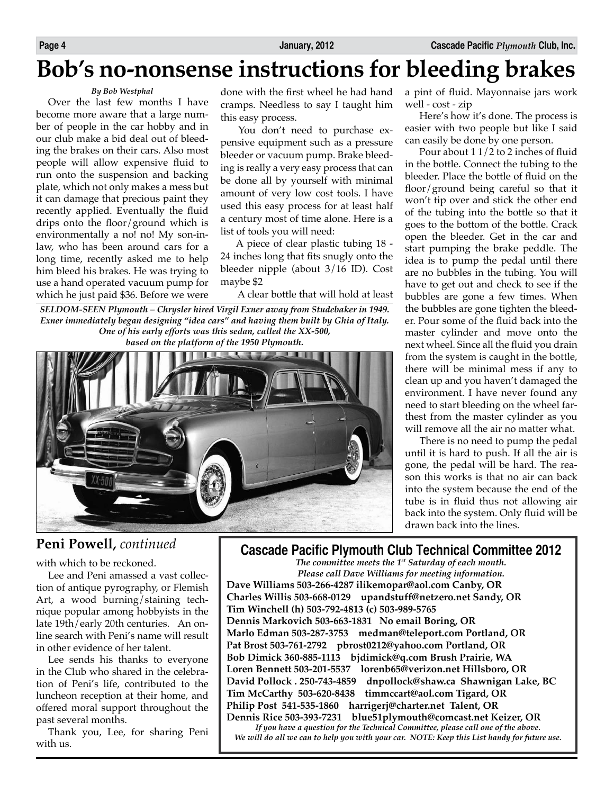# **Bob's no-nonsense instructions for bleeding brakes**

### *By Bob Westphal*

Over the last few months I have become more aware that a large number of people in the car hobby and in our club make a bid deal out of bleeding the brakes on their cars. Also most people will allow expensive fluid to run onto the suspension and backing plate, which not only makes a mess but it can damage that precious paint they recently applied. Eventually the fluid drips onto the floor/ground which is environmentally a no! no! My son-inlaw, who has been around cars for a long time, recently asked me to help him bleed his brakes. He was trying to use a hand operated vacuum pump for which he just paid \$36. Before we were

done with the first wheel he had hand cramps. Needless to say I taught him this easy process.

 You don't need to purchase expensive equipment such as a pressure bleeder or vacuum pump. Brake bleeding is really a very easy process that can be done all by yourself with minimal amount of very low cost tools. I have used this easy process for at least half a century most of time alone. Here is a list of tools you will need:

 A piece of clear plastic tubing 18 - 24 inches long that fits snugly onto the bleeder nipple (about 3/16 ID). Cost maybe \$2

A clear bottle that will hold at least

*SELDOM-SEEN Plymouth – Chrysler hired Virgil Exner away from Studebaker in 1949. Exner immediately began designing "idea cars" and having them built by Ghia of Italy. One of his early efforts was this sedan, called the XX-500, based on the platform of the 1950 Plymouth.* 



a pint of fluid. Mayonnaise jars work well - cost - zip

 Here's how it's done. The process is easier with two people but like I said can easily be done by one person.

 Pour about 1 1/2 to 2 inches of fluid in the bottle. Connect the tubing to the bleeder. Place the bottle of fluid on the floor/ground being careful so that it won't tip over and stick the other end of the tubing into the bottle so that it goes to the bottom of the bottle. Crack open the bleeder. Get in the car and start pumping the brake peddle. The idea is to pump the pedal until there are no bubbles in the tubing. You will have to get out and check to see if the bubbles are gone a few times. When the bubbles are gone tighten the bleeder. Pour some of the fluid back into the master cylinder and move onto the next wheel. Since all the fluid you drain from the system is caught in the bottle, there will be minimal mess if any to clean up and you haven't damaged the environment. I have never found any need to start bleeding on the wheel farthest from the master cylinder as you will remove all the air no matter what.

 There is no need to pump the pedal until it is hard to push. If all the air is gone, the pedal will be hard. The reason this works is that no air can back into the system because the end of the tube is in fluid thus not allowing air back into the system. Only fluid will be drawn back into the lines.

### **Peni Powell,** *continued*

with which to be reckoned.

Lee and Peni amassed a vast collection of antique pyrography, or Flemish Art, a wood burning/staining technique popular among hobbyists in the late 19th/early 20th centuries. An online search with Peni's name will result in other evidence of her talent.

Lee sends his thanks to everyone in the Club who shared in the celebration of Peni's life, contributed to the luncheon reception at their home, and offered moral support throughout the past several months.

Thank you, Lee, for sharing Peni with us.

### **Cascade Pacific Plymouth Club Technical Committee 2012**

*The committee meets the 1st Saturday of each month. Please call Dave Williams for meeting information.*

**Dave Williams 503-266-4287 ilikemopar@aol.com Canby, OR Charles Willis 503-668-0129 upandstuff@netzero.net Sandy, OR Tim Winchell (h) 503-792-4813 (c) 503-989-5765 Dennis Markovich 503-663-1831 No email Boring, OR Marlo Edman 503-287-3753 medman@teleport.com Portland, OR Pat Brost 503-761-2792 pbrost0212@yahoo.com Portland, OR Bob Dimick 360-885-1113 bjdimick@q.com Brush Prairie, WA Loren Bennett 503-201-5537 lorenb65@verizon.net Hillsboro, OR David Pollock . 250-743-4859 dnpollock@shaw.ca Shawnigan Lake, BC Tim McCarthy 503-620-8438 timmccart@aol.com Tigard, OR Philip Post 541-535-1860 harrigerj@charter.net Talent, OR Dennis Rice 503-393-7231 blue51plymouth@comcast.net Keizer, OR**

*If you have a question for the Technical Committee, please call one of the above. We will do all we can to help you with your car. NOTE: Keep this List handy for future use.*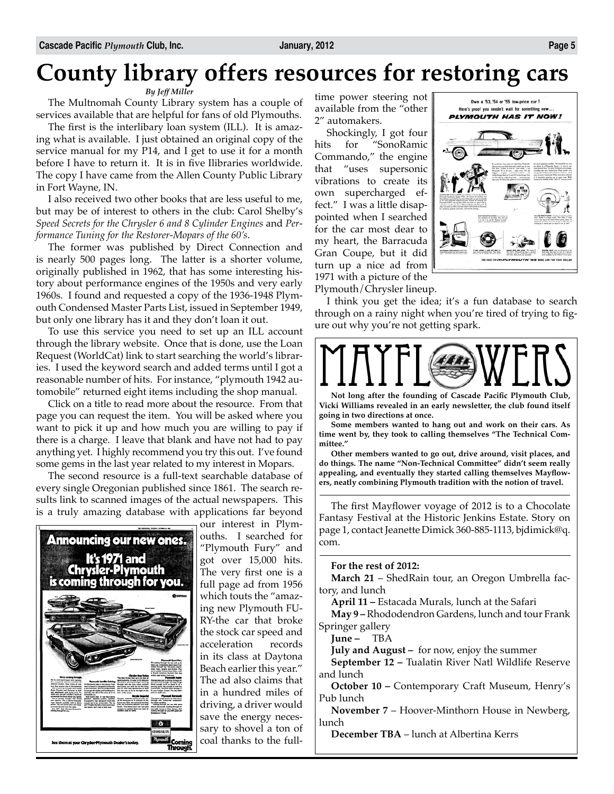# **County library offers resources for restoring cars**

### *By Jeff Miller*

The Multnomah County Library system has a couple of services available that are helpful for fans of old Plymouths.

The first is the interlibary loan system (ILL). It is amazing what is available. I just obtained an original copy of the service manual for my P14, and I get to use it for a month before I have to return it. It is in five Ilibraries worldwide. The copy I have came from the Allen County Public Library in Fort Wayne, IN.

I also received two other books that are less useful to me, but may be of interest to others in the club: Carol Shelby's Speed Secrets for the Chrysler 6 and 8 Cylinder Engines and Per*formance Tuning for the Restorer-Mopars of the 60's*.

The former was published by Direct Connection and is nearly 500 pages long. The latter is a shorter volume, originally published in 1962, that has some interesting history about performance engines of the 1950s and very early 1960s. I found and requested a copy of the 1936-1948 Plymouth Condensed Master Parts List, issued in September 1949, but only one library has it and they don't loan it out.

To use this service you need to set up an ILL account through the library website. Once that is done, use the Loan Request (WorldCat) link to start searching the world's libraries. I used the keyword search and added terms until I got a reasonable number of hits. For instance, "plymouth 1942 automobile" returned eight items including the shop manual.

Click on a title to read more about the resource. From that page you can request the item. You will be asked where you want to pick it up and how much you are willing to pay if there is a charge. I leave that blank and have not had to pay anything yet. I highly recommend you try this out. I've found some gems in the last year related to my interest in Mopars.

The second resource is a full-text searchable database of every single Oregonian published since 1861. The search results link to scanned images of the actual newspapers. This is a truly amazing database with applications far beyond



our interest in Plymouths. I searched for "Plymouth Fury" and got over 15,000 hits. The very first one is a full page ad from 1956 which touts the "amazing new Plymouth FU-RY-the car that broke the stock car speed and<br>acceleration records acceleration in its class at Daytona Beach earlier this year." The ad also claims that in a hundred miles of driving, a driver would save the energy necessary to shovel a ton of coal thanks to the fulltime power steering not available from the "other 2" automakers.

Shockingly, I got four hits for "SonoRamic Commando," the engine that "uses supersonic vibrations to create its own supercharged effect." I was a little disappointed when I searched for the car most dear to my heart, the Barracuda Gran Coupe, but it did turn up a nice ad from 1971 with a picture of the Plymouth/Chrysler lineup.



.<br>Alfred a sylvator is such that about the<br>Plane with tradition pro who with a

September 1989, State sprints, The Value



**Not long after the founding of Cascade Pacific Plymouth Club, Vicki Williams revealed in an early newsletter, the club found itself going in two directions at once.**

**Some members wanted to hang out and work on their cars. As time went by, they took to calling themselves "The Technical Committee."**

**Other members wanted to go out, drive around, visit places, and do things. The name "Non-Technical Committee" didn't seem really appealing, and eventually they started calling themselves Mayflowers, neatly combining Plymouth tradition with the notion of travel.**

The first Mayflower voyage of 2012 is to a Chocolate Fantasy Festival at the Historic Jenkins Estate. Story on page 1, contact Jeanette Dimick 360-885-1113, bjdimick@q. com.

#### **For the rest of 2012:**

**March 21** – ShedRain tour, an Oregon Umbrella factory, and lunch

**April 11 –** Estacada Murals, lunch at the Safari

**May 9 –** Rhododendron Gardens, lunch and tour Frank Springer gallery

**June –** TBA

**July and August –** for now, enjoy the summer

**September 12 –** Tualatin River Natl Wildlife Reserve and lunch

**October 10 –** Contemporary Craft Museum, Henry's Pub lunch

**November 7** – Hoover-Minthorn House in Newberg, lunch

**December TBA** – lunch at Albertina Kerrs

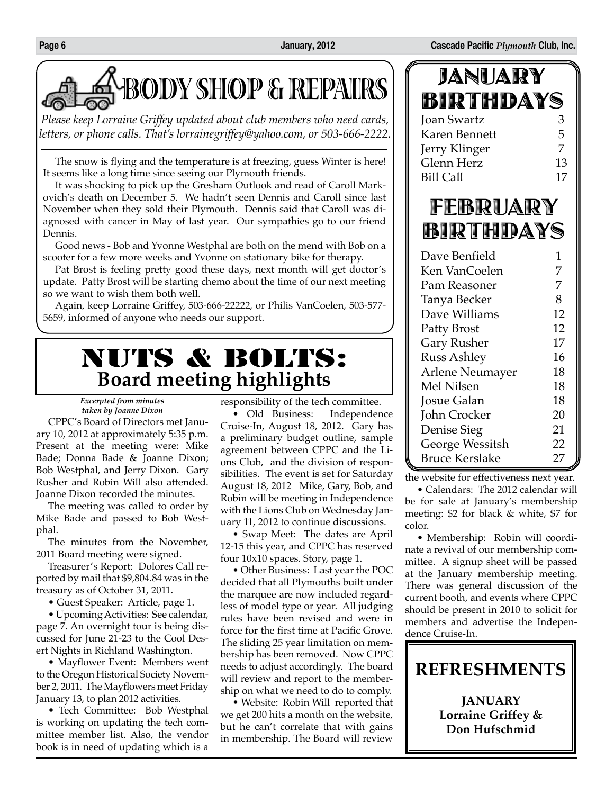



*Please keep Lorraine Griffey updated about club members who need cards, letters, or phone calls. That's lorrainegriffey@yahoo.com, or 503-666-2222.*

The snow is flying and the temperature is at freezing, guess Winter is here! It seems like a long time since seeing our Plymouth friends.

It was shocking to pick up the Gresham Outlook and read of Caroll Markovich's death on December 5. We hadn't seen Dennis and Caroll since last November when they sold their Plymouth. Dennis said that Caroll was diagnosed with cancer in May of last year. Our sympathies go to our friend Dennis.

Good news - Bob and Yvonne Westphal are both on the mend with Bob on a scooter for a few more weeks and Yvonne on stationary bike for therapy.

Pat Brost is feeling pretty good these days, next month will get doctor's update. Patty Brost will be starting chemo about the time of our next meeting so we want to wish them both well.

Again, keep Lorraine Griffey, 503-666-22222, or Philis VanCoelen, 503-577- 5659, informed of anyone who needs our support.

# NUTS & BOLTS: **Board meeting highlights**

*Excerpted from minutes taken by Joanne Dixon*

CPPC's Board of Directors met January 10, 2012 at approximately 5:35 p.m. Present at the meeting were: Mike Bade; Donna Bade & Joanne Dixon; Bob Westphal, and Jerry Dixon. Gary Rusher and Robin Will also attended. Joanne Dixon recorded the minutes.

The meeting was called to order by Mike Bade and passed to Bob Westphal.

The minutes from the November, 2011 Board meeting were signed.

Treasurer's Report: Dolores Call reported by mail that \$9,804.84 was in the treasury as of October 31, 2011.

• Guest Speaker: Article, page 1.

• Upcoming Activities: See calendar, page 7. An overnight tour is being discussed for June 21-23 to the Cool Desert Nights in Richland Washington.

• Mayflower Event: Members went to the Oregon Historical Society November 2, 2011. The Mayflowers meet Friday January 13, to plan 2012 activities.

• Tech Committee: Bob Westphal is working on updating the tech committee member list. Also, the vendor book is in need of updating which is a

responsibility of the tech committee.

• Old Business: Independence Cruise-In, August 18, 2012. Gary has a preliminary budget outline, sample agreement between CPPC and the Lions Club, and the division of responsibilities. The event is set for Saturday August 18, 2012 Mike, Gary, Bob, and Robin will be meeting in Independence with the Lions Club on Wednesday January 11, 2012 to continue discussions.

• Swap Meet: The dates are April 12-15 this year, and CPPC has reserved four 10x10 spaces. Story, page 1.

• Other Business: Last year the POC decided that all Plymouths built under the marquee are now included regardless of model type or year. All judging rules have been revised and were in force for the first time at Pacific Grove. The sliding 25 year limitation on membership has been removed. Now CPPC needs to adjust accordingly. The board will review and report to the membership on what we need to do to comply.

• Website: Robin Will reported that we get 200 hits a month on the website, but he can't correlate that with gains in membership. The Board will review

| <i>Fr</i> ei (vo <i>r</i> ebe b |    |
|---------------------------------|----|
| BIRTHDAYS                       |    |
| Joan Swartz                     | З  |
| Karen Bennett                   | 5  |
| Jerry Klinger                   | 7  |
| Glenn Herz                      | 13 |
| <b>Bill Call</b>                | 17 |
|                                 |    |

JANUARY

# FEBRUARY BIRTHDAYS

| Dave Benfield          | 1  |
|------------------------|----|
| Ken VanCoelen          | 7  |
| Pam Reasoner           | 7  |
| Tanya Becker           | 8  |
| Dave Williams          | 12 |
| Patty Brost            | 12 |
| Gary Rusher            | 17 |
| <b>Russ Ashley</b>     | 16 |
| <b>Arlene Neumayer</b> | 18 |
| Mel Nilsen             | 18 |
| Josue Galan            | 18 |
| John Crocker           | 20 |
| Denise Sieg            | 21 |
| George Wessitsh        | 22 |
| <b>Bruce Kerslake</b>  | 27 |

the website for effectiveness next year.

• Calendars: The 2012 calendar will be for sale at January's membership meeting: \$2 for black & white, \$7 for color.

• Membership: Robin will coordinate a revival of our membership committee. A signup sheet will be passed at the January membership meeting. There was general discussion of the current booth, and events where CPPC should be present in 2010 to solicit for members and advertise the Independence Cruise-In.

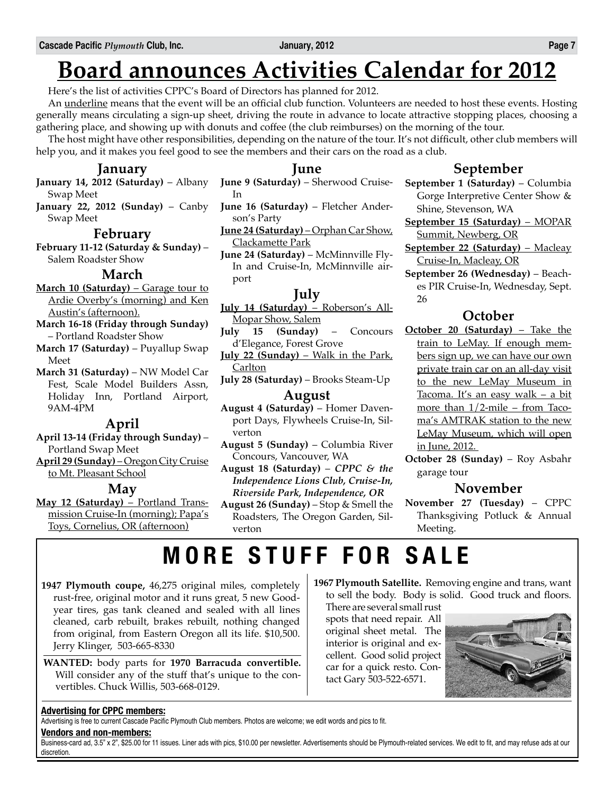# **Board announces Activities Calendar for 2012**

Here's the list of activities CPPC's Board of Directors has planned for 2012.

An <u>underline</u> means that the event will be an official club function. Volunteers are needed to host these events. Hosting generally means circulating a sign-up sheet, driving the route in advance to locate attractive stopping places, choosing a gathering place, and showing up with donuts and coffee (the club reimburses) on the morning of the tour.

The host might have other responsibilities, depending on the nature of the tour. It's not difficult, other club members will help you, and it makes you feel good to see the members and their cars on the road as a club.

### **January**

- **January 14, 2012 (Saturday)** Albany Swap Meet
- **January 22, 2012 (Sunday)** Canby Swap Meet

### **February**

**February 11-12 (Saturday & Sunday)** – Salem Roadster Show

### **March**

**March 10 (Saturday)** – Garage tour to Ardie Overby's (morning) and Ken Austin's (afternoon).

- **March 16-18 (Friday through Sunday)** – Portland Roadster Show
- **March 17 (Saturday)** Puyallup Swap Meet
- **March 31 (Saturday)** NW Model Car Fest, Scale Model Builders Assn, Holiday Inn, Portland Airport, 9AM-4PM

### **April**

- **April 13-14 (Friday through Sunday)** Portland Swap Meet
- **April 29 (Sunday)** Oregon City Cruise to Mt. Pleasant School

### **May**

**May 12 (Saturday)** – Portland Transmission Cruise-In (morning); Papa's Toys, Cornelius, OR (afternoon)

### **June**

- **June 9 (Saturday)** Sherwood Cruise-In
- **June 16 (Saturday)** Fletcher Anderson's Party
- **June 24 (Saturday)** Orphan Car Show, Clackamette Park
- **June 24 (Saturday)** McMinnville Fly-In and Cruise-In, McMinnville airport

### **July**

- **July 14 (Saturday)** Roberson's All-Mopar Show, Salem
- **July 15 (Sunday)** Concours d'Elegance, Forest Grove
- **July 22 (Sunday)** Walk in the Park, Carlton
- **July 28 (Saturday)** Brooks Steam-Up

### **August**

- **August 4 (Saturday)** Homer Davenport Days, Flywheels Cruise-In, Silverton
- **August 5 (Sunday)** Columbia River Concours, Vancouver, WA
- **August 18 (Saturday)** *CPPC & the Independence Lions Club, Cruise-In, Riverside Park, Independence, OR*
- **August 26 (Sunday)** Stop & Smell the Roadsters, The Oregon Garden, Silverton

### **September**

- **September 1 (Saturday)** Columbia Gorge Interpretive Center Show & Shine, Stevenson, WA
- **September 15 (Saturday)** MOPAR Summit, Newberg, OR
- **September 22 (Saturday)** Macleay Cruise-In, Macleay, OR
- **September 26 (Wednesday)** Beaches PIR Cruise-In, Wednesday, Sept. 26

### **October**

- **October 20 (Saturday)** Take the train to LeMay. If enough members sign up, we can have our own private train car on an all-day visit to the new LeMay Museum in Tacoma. It's an easy walk – a bit more than 1/2-mile – from Tacoma's AMTRAK station to the new LeMay Museum, which will open in June, 2012.
- **October 28 (Sunday)** Roy Asbahr garage tour

### **November**

**November 27 (Tuesday)** – CPPC Thanksgiving Potluck & Annual Meeting.

# **MORE STUFF FOR SALE**

- **1947 Plymouth coupe,** 46,275 original miles, completely rust-free, original motor and it runs great, 5 new Goodyear tires, gas tank cleaned and sealed with all lines cleaned, carb rebuilt, brakes rebuilt, nothing changed from original, from Eastern Oregon all its life. \$10,500. Jerry Klinger, 503-665-8330
- **WANTED:** body parts for **1970 Barracuda convertible.**  Will consider any of the stuff that's unique to the convertibles. Chuck Willis, 503-668-0129.

**1967 Plymouth Satellite.** Removing engine and trans, want to sell the body. Body is solid. Good truck and floors.

There are several small rust spots that need repair. All original sheet metal. The interior is original and excellent. Good solid project car for a quick resto. Contact Gary 503-522-6571.



### **Advertising for CPPC members:**

Advertising is free to current Cascade Pacific Plymouth Club members. Photos are welcome; we edit words and pics to fit.

#### **Vendors and non-members:**

Business-card ad, 3.5" x 2", \$25.00 for 11 issues. Liner ads with pics, \$10.00 per newsletter. Advertisements should be Plymouth-related services. We edit to fit, and may refuse ads at our discretion.